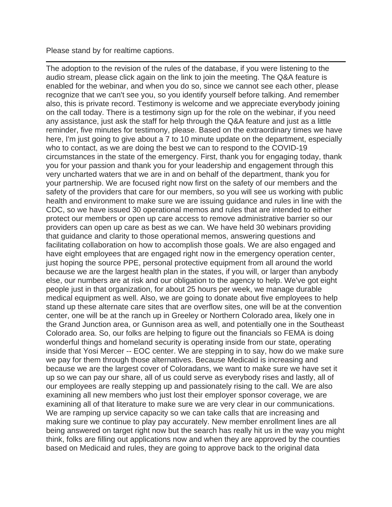Please stand by for realtime captions.

The adoption to the revision of the rules of the database, if you were listening to the audio stream, please click again on the link to join the meeting. The Q&A feature is enabled for the webinar, and when you do so, since we cannot see each other, please recognize that we can't see you, so you identify yourself before talking. And remember also, this is private record. Testimony is welcome and we appreciate everybody joining on the call today. There is a testimony sign up for the role on the webinar, if you need any assistance, just ask the staff for help through the Q&A feature and just as a little reminder, five minutes for testimony, please. Based on the extraordinary times we have here, I'm just going to give about a 7 to 10 minute update on the department, especially who to contact, as we are doing the best we can to respond to the COVID-19 circumstances in the state of the emergency. First, thank you for engaging today, thank you for your passion and thank you for your leadership and engagement through this very uncharted waters that we are in and on behalf of the department, thank you for your partnership. We are focused right now first on the safety of our members and the safety of the providers that care for our members, so you will see us working with public health and environment to make sure we are issuing guidance and rules in line with the CDC, so we have issued 30 operational memos and rules that are intended to either protect our members or open up care access to remove administrative barrier so our providers can open up care as best as we can. We have held 30 webinars providing that guidance and clarity to those operational memos, answering questions and facilitating collaboration on how to accomplish those goals. We are also engaged and have eight employees that are engaged right now in the emergency operation center, just hoping the source PPE, personal protective equipment from all around the world because we are the largest health plan in the states, if you will, or larger than anybody else, our numbers are at risk and our obligation to the agency to help. We've got eight people just in that organization, for about 25 hours per week, we manage durable medical equipment as well. Also, we are going to donate about five employees to help stand up these alternate care sites that are overflow sites, one will be at the convention center, one will be at the ranch up in Greeley or Northern Colorado area, likely one in the Grand Junction area, or Gunnison area as well, and potentially one in the Southeast Colorado area. So, our folks are helping to figure out the financials so FEMA is doing wonderful things and homeland security is operating inside from our state, operating inside that Yosi Mercer -- EOC center. We are stepping in to say, how do we make sure we pay for them through those alternatives. Because Medicaid is increasing and because we are the largest cover of Coloradans, we want to make sure we have set it up so we can pay our share, all of us could serve as everybody rises and lastly, all of our employees are really stepping up and passionately rising to the call. We are also examining all new members who just lost their employer sponsor coverage, we are examining all of that literature to make sure we are very clear in our communications. We are ramping up service capacity so we can take calls that are increasing and making sure we continue to play pay accurately. New member enrollment lines are all being answered on target right now but the search has really hit us in the way you might think, folks are filling out applications now and when they are approved by the counties based on Medicaid and rules, they are going to approve back to the original data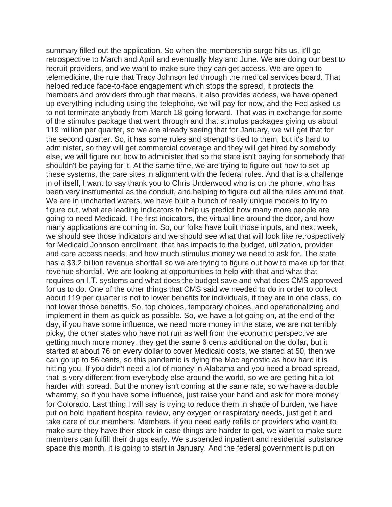summary filled out the application. So when the membership surge hits us, it'll go retrospective to March and April and eventually May and June. We are doing our best to recruit providers, and we want to make sure they can get access. We are open to telemedicine, the rule that Tracy Johnson led through the medical services board. That helped reduce face-to-face engagement which stops the spread, it protects the members and providers through that means, it also provides access, we have opened up everything including using the telephone, we will pay for now, and the Fed asked us to not terminate anybody from March 18 going forward. That was in exchange for some of the stimulus package that went through and that stimulus packages giving us about 119 million per quarter, so we are already seeing that for January, we will get that for the second quarter. So, it has some rules and strengths tied to them, but it's hard to administer, so they will get commercial coverage and they will get hired by somebody else, we will figure out how to administer that so the state isn't paying for somebody that shouldn't be paying for it. At the same time, we are trying to figure out how to set up these systems, the care sites in alignment with the federal rules. And that is a challenge in of itself, I want to say thank you to Chris Underwood who is on the phone, who has been very instrumental as the conduit, and helping to figure out all the rules around that. We are in uncharted waters, we have built a bunch of really unique models to try to figure out, what are leading indicators to help us predict how many more people are going to need Medicaid. The first indicators, the virtual line around the door, and how many applications are coming in. So, our folks have built those inputs, and next week, we should see those indicators and we should see what that will look like retrospectively for Medicaid Johnson enrollment, that has impacts to the budget, utilization, provider and care access needs, and how much stimulus money we need to ask for. The state has a \$3.2 billion revenue shortfall so we are trying to figure out how to make up for that revenue shortfall. We are looking at opportunities to help with that and what that requires on I.T. systems and what does the budget save and what does CMS approved for us to do. One of the other things that CMS said we needed to do in order to collect about 119 per quarter is not to lower benefits for individuals, if they are in one class, do not lower those benefits. So, top choices, temporary choices, and operationalizing and implement in them as quick as possible. So, we have a lot going on, at the end of the day, if you have some influence, we need more money in the state, we are not terribly picky, the other states who have not run as well from the economic perspective are getting much more money, they get the same 6 cents additional on the dollar, but it started at about 76 on every dollar to cover Medicaid costs, we started at 50, then we can go up to 56 cents, so this pandemic is dying the Mac agnostic as how hard it is hitting you. If you didn't need a lot of money in Alabama and you need a broad spread, that is very different from everybody else around the world, so we are getting hit a lot harder with spread. But the money isn't coming at the same rate, so we have a double whammy, so if you have some influence, just raise your hand and ask for more money for Colorado. Last thing I will say is trying to reduce them in shade of burden, we have put on hold inpatient hospital review, any oxygen or respiratory needs, just get it and take care of our members. Members, if you need early refills or providers who want to make sure they have their stock in case things are harder to get, we want to make sure members can fulfill their drugs early. We suspended inpatient and residential substance space this month, it is going to start in January. And the federal government is put on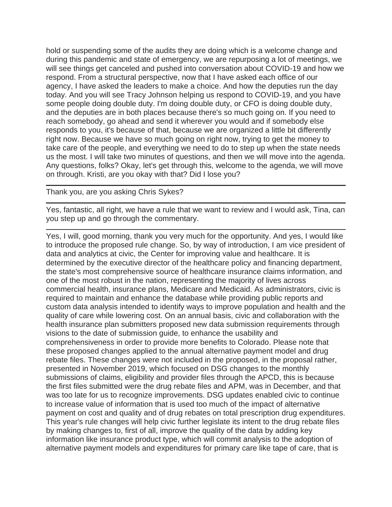hold or suspending some of the audits they are doing which is a welcome change and during this pandemic and state of emergency, we are repurposing a lot of meetings, we will see things get canceled and pushed into conversation about COVID-19 and how we respond. From a structural perspective, now that I have asked each office of our agency, I have asked the leaders to make a choice. And how the deputies run the day today. And you will see Tracy Johnson helping us respond to COVID-19, and you have some people doing double duty. I'm doing double duty, or CFO is doing double duty, and the deputies are in both places because there's so much going on. If you need to reach somebody, go ahead and send it wherever you would and if somebody else responds to you, it's because of that, because we are organized a little bit differently right now. Because we have so much going on right now, trying to get the money to take care of the people, and everything we need to do to step up when the state needs us the most. I will take two minutes of questions, and then we will move into the agenda. Any questions, folks? Okay, let's get through this, welcome to the agenda, we will move on through. Kristi, are you okay with that? Did I lose you?

Thank you, are you asking Chris Sykes?

Yes, fantastic, all right, we have a rule that we want to review and I would ask, Tina, can you step up and go through the commentary.

Yes, I will, good morning, thank you very much for the opportunity. And yes, I would like to introduce the proposed rule change. So, by way of introduction, I am vice president of data and analytics at civic, the Center for improving value and healthcare. It is determined by the executive director of the healthcare policy and financing department, the state's most comprehensive source of healthcare insurance claims information, and one of the most robust in the nation, representing the majority of lives across commercial health, insurance plans, Medicare and Medicaid. As administrators, civic is required to maintain and enhance the database while providing public reports and custom data analysis intended to identify ways to improve population and health and the quality of care while lowering cost. On an annual basis, civic and collaboration with the health insurance plan submitters proposed new data submission requirements through visions to the date of submission guide, to enhance the usability and comprehensiveness in order to provide more benefits to Colorado. Please note that these proposed changes applied to the annual alternative payment model and drug rebate files. These changes were not included in the proposed, in the proposal rather, presented in November 2019, which focused on DSG changes to the monthly submissions of claims, eligibility and provider files through the APCD, this is because the first files submitted were the drug rebate files and APM, was in December, and that was too late for us to recognize improvements. DSG updates enabled civic to continue to increase value of information that is used too much of the impact of alternative payment on cost and quality and of drug rebates on total prescription drug expenditures. This year's rule changes will help civic further legislate its intent to the drug rebate files by making changes to, first of all, improve the quality of the data by adding key information like insurance product type, which will commit analysis to the adoption of alternative payment models and expenditures for primary care like tape of care, that is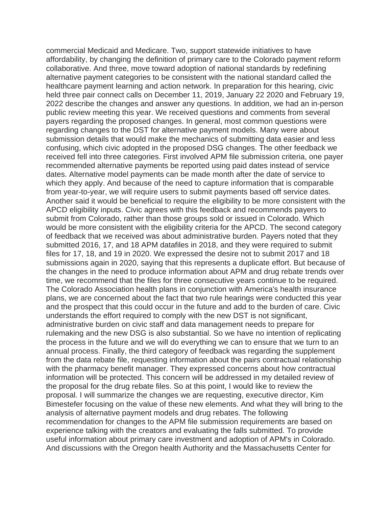commercial Medicaid and Medicare. Two, support statewide initiatives to have affordability, by changing the definition of primary care to the Colorado payment reform collaborative. And three, move toward adoption of national standards by redefining alternative payment categories to be consistent with the national standard called the healthcare payment learning and action network. In preparation for this hearing, civic held three pair connect calls on December 11, 2019, January 22 2020 and February 19, 2022 describe the changes and answer any questions. In addition, we had an in-person public review meeting this year. We received questions and comments from several payers regarding the proposed changes. In general, most common questions were regarding changes to the DST for alternative payment models. Many were about submission details that would make the mechanics of submitting data easier and less confusing, which civic adopted in the proposed DSG changes. The other feedback we received fell into three categories. First involved APM file submission criteria, one payer recommended alternative payments be reported using paid dates instead of service dates. Alternative model payments can be made month after the date of service to which they apply. And because of the need to capture information that is comparable from year-to-year, we will require users to submit payments based off service dates. Another said it would be beneficial to require the eligibility to be more consistent with the APCD eligibility inputs. Civic agrees with this feedback and recommends payers to submit from Colorado, rather than those groups sold or issued in Colorado. Which would be more consistent with the eligibility criteria for the APCD. The second category of feedback that we received was about administrative burden. Payers noted that they submitted 2016, 17, and 18 APM datafiles in 2018, and they were required to submit files for 17, 18, and 19 in 2020. We expressed the desire not to submit 2017 and 18 submissions again in 2020, saying that this represents a duplicate effort. But because of the changes in the need to produce information about APM and drug rebate trends over time, we recommend that the files for three consecutive years continue to be required. The Colorado Association health plans in conjunction with America's health insurance plans, we are concerned about the fact that two rule hearings were conducted this year and the prospect that this could occur in the future and add to the burden of care. Civic understands the effort required to comply with the new DST is not significant, administrative burden on civic staff and data management needs to prepare for rulemaking and the new DSG is also substantial. So we have no intention of replicating the process in the future and we will do everything we can to ensure that we turn to an annual process. Finally, the third category of feedback was regarding the supplement from the data rebate file, requesting information about the pairs contractual relationship with the pharmacy benefit manager. They expressed concerns about how contractual information will be protected. This concern will be addressed in my detailed review of the proposal for the drug rebate files. So at this point, I would like to review the proposal. I will summarize the changes we are requesting, executive director, Kim Bimestefer focusing on the value of these new elements. And what they will bring to the analysis of alternative payment models and drug rebates. The following recommendation for changes to the APM file submission requirements are based on experience talking with the creators and evaluating the falls submitted. To provide useful information about primary care investment and adoption of APM's in Colorado. And discussions with the Oregon health Authority and the Massachusetts Center for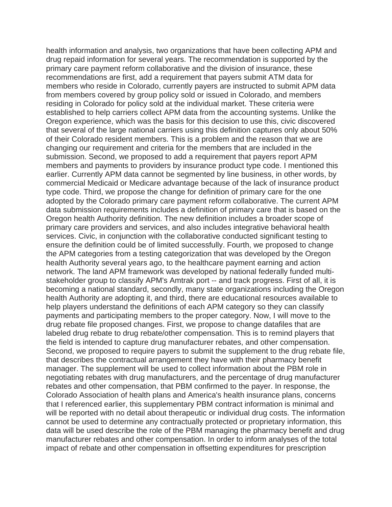health information and analysis, two organizations that have been collecting APM and drug repaid information for several years. The recommendation is supported by the primary care payment reform collaborative and the division of insurance, these recommendations are first, add a requirement that payers submit ATM data for members who reside in Colorado, currently payers are instructed to submit APM data from members covered by group policy sold or issued in Colorado, and members residing in Colorado for policy sold at the individual market. These criteria were established to help carriers collect APM data from the accounting systems. Unlike the Oregon experience, which was the basis for this decision to use this, civic discovered that several of the large national carriers using this definition captures only about 50% of their Colorado resident members. This is a problem and the reason that we are changing our requirement and criteria for the members that are included in the submission. Second, we proposed to add a requirement that payers report APM members and payments to providers by insurance product type code. I mentioned this earlier. Currently APM data cannot be segmented by line business, in other words, by commercial Medicaid or Medicare advantage because of the lack of insurance product type code. Third, we propose the change for definition of primary care for the one adopted by the Colorado primary care payment reform collaborative. The current APM data submission requirements includes a definition of primary care that is based on the Oregon health Authority definition. The new definition includes a broader scope of primary care providers and services, and also includes integrative behavioral health services. Civic, in conjunction with the collaborative conducted significant testing to ensure the definition could be of limited successfully. Fourth, we proposed to change the APM categories from a testing categorization that was developed by the Oregon health Authority several years ago, to the healthcare payment earning and action network. The land APM framework was developed by national federally funded multistakeholder group to classify APM's Amtrak port -- and track progress. First of all, it is becoming a national standard, secondly, many state organizations including the Oregon health Authority are adopting it, and third, there are educational resources available to help players understand the definitions of each APM category so they can classify payments and participating members to the proper category. Now, I will move to the drug rebate file proposed changes. First, we propose to change datafiles that are labeled drug rebate to drug rebate/other compensation. This is to remind players that the field is intended to capture drug manufacturer rebates, and other compensation. Second, we proposed to require payers to submit the supplement to the drug rebate file, that describes the contractual arrangement they have with their pharmacy benefit manager. The supplement will be used to collect information about the PBM role in negotiating rebates with drug manufacturers, and the percentage of drug manufacturer rebates and other compensation, that PBM confirmed to the payer. In response, the Colorado Association of health plans and America's health insurance plans, concerns that I referenced earlier, this supplementary PBM contract information is minimal and will be reported with no detail about therapeutic or individual drug costs. The information cannot be used to determine any contractually protected or proprietary information, this data will be used describe the role of the PBM managing the pharmacy benefit and drug manufacturer rebates and other compensation. In order to inform analyses of the total impact of rebate and other compensation in offsetting expenditures for prescription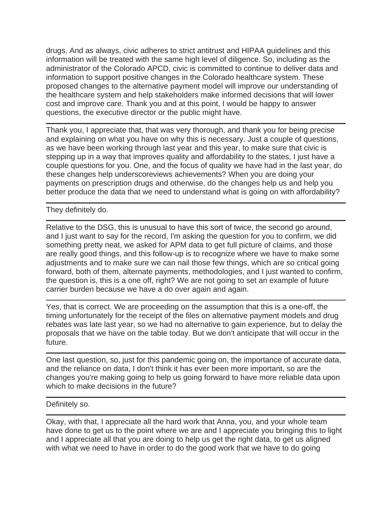drugs. And as always, civic adheres to strict antitrust and HIPAA guidelines and this information will be treated with the same high level of diligence. So, including as the administrator of the Colorado APCD, civic is committed to continue to deliver data and information to support positive changes in the Colorado healthcare system. These proposed changes to the alternative payment model will improve our understanding of the healthcare system and help stakeholders make informed decisions that will lower cost and improve care. Thank you and at this point, I would be happy to answer questions, the executive director or the public might have.

Thank you, I appreciate that, that was very thorough, and thank you for being precise and explaining on what you have on why this is necessary. Just a couple of questions, as we have been working through last year and this year, to make sure that civic is stepping up in a way that improves quality and affordability to the states, I just have a couple questions for you. One, and the focus of quality we have had in the last year, do these changes help underscoreviews achievements? When you are doing your payments on prescription drugs and otherwise, do the changes help us and help you better produce the data that we need to understand what is going on with affordability?

They definitely do.

Relative to the DSG, this is unusual to have this sort of twice, the second go around, and I just want to say for the record, I'm asking the question for you to confirm, we did something pretty neat, we asked for APM data to get full picture of claims, and those are really good things, and this follow-up is to recognize where we have to make some adjustments and to make sure we can nail those few things, which are so critical going forward, both of them, alternate payments, methodologies, and I just wanted to confirm, the question is, this is a one off, right? We are not going to set an example of future carrier burden because we have a do over again and again.

Yes, that is correct. We are proceeding on the assumption that this is a one-off, the timing unfortunately for the receipt of the files on alternative payment models and drug rebates was late last year, so we had no alternative to gain experience, but to delay the proposals that we have on the table today. But we don't anticipate that will occur in the future.

One last question, so, just for this pandemic going on, the importance of accurate data, and the reliance on data, I don't think it has ever been more important, so are the changes you're making going to help us going forward to have more reliable data upon which to make decisions in the future?

Definitely so.

Okay, with that, I appreciate all the hard work that Anna, you, and your whole team have done to get us to the point where we are and I appreciate you bringing this to light and I appreciate all that you are doing to help us get the right data, to get us aligned with what we need to have in order to do the good work that we have to do going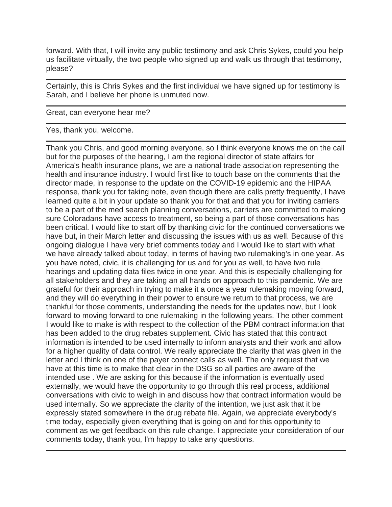forward. With that, I will invite any public testimony and ask Chris Sykes, could you help us facilitate virtually, the two people who signed up and walk us through that testimony, please?

Certainly, this is Chris Sykes and the first individual we have signed up for testimony is Sarah, and I believe her phone is unmuted now.

Great, can everyone hear me?

Yes, thank you, welcome.

Thank you Chris, and good morning everyone, so I think everyone knows me on the call but for the purposes of the hearing, I am the regional director of state affairs for America's health insurance plans, we are a national trade association representing the health and insurance industry. I would first like to touch base on the comments that the director made, in response to the update on the COVID-19 epidemic and the HIPAA response, thank you for taking note, even though there are calls pretty frequently, I have learned quite a bit in your update so thank you for that and that you for inviting carriers to be a part of the med search planning conversations, carriers are committed to making sure Coloradans have access to treatment, so being a part of those conversations has been critical. I would like to start off by thanking civic for the continued conversations we have but, in their March letter and discussing the issues with us as well. Because of this ongoing dialogue I have very brief comments today and I would like to start with what we have already talked about today, in terms of having two rulemaking's in one year. As you have noted, civic, it is challenging for us and for you as well, to have two rule hearings and updating data files twice in one year. And this is especially challenging for all stakeholders and they are taking an all hands on approach to this pandemic. We are grateful for their approach in trying to make it a once a year rulemaking moving forward, and they will do everything in their power to ensure we return to that process, we are thankful for those comments, understanding the needs for the updates now, but I look forward to moving forward to one rulemaking in the following years. The other comment I would like to make is with respect to the collection of the PBM contract information that has been added to the drug rebates supplement. Civic has stated that this contract information is intended to be used internally to inform analysts and their work and allow for a higher quality of data control. We really appreciate the clarity that was given in the letter and I think on one of the payer connect calls as well. The only request that we have at this time is to make that clear in the DSG so all parties are aware of the intended use . We are asking for this because if the information is eventually used externally, we would have the opportunity to go through this real process, additional conversations with civic to weigh in and discuss how that contract information would be used internally. So we appreciate the clarity of the intention, we just ask that it be expressly stated somewhere in the drug rebate file. Again, we appreciate everybody's time today, especially given everything that is going on and for this opportunity to comment as we get feedback on this rule change. I appreciate your consideration of our comments today, thank you, I'm happy to take any questions.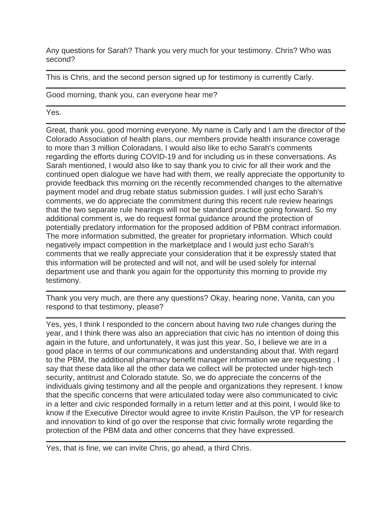Any questions for Sarah? Thank you very much for your testimony. Chris? Who was second?

This is Chris, and the second person signed up for testimony is currently Carly.

Good morning, thank you, can everyone hear me?

Yes.

Great, thank you, good morning everyone. My name is Carly and I am the director of the Colorado Association of health plans, our members provide health insurance coverage to more than 3 million Coloradans, I would also like to echo Sarah's comments regarding the efforts during COVID-19 and for including us in these conversations. As Sarah mentioned, I would also like to say thank you to civic for all their work and the continued open dialogue we have had with them, we really appreciate the opportunity to provide feedback this morning on the recently recommended changes to the alternative payment model and drug rebate status submission guides. I will just echo Sarah's comments, we do appreciate the commitment during this recent rule review hearings that the two separate rule hearings will not be standard practice going forward. So my additional comment is, we do request formal guidance around the protection of potentially predatory information for the proposed addition of PBM contract information. The more information submitted, the greater for proprietary information. Which could negatively impact competition in the marketplace and I would just echo Sarah's comments that we really appreciate your consideration that it be expressly stated that this information will be protected and will not, and will be used solely for internal department use and thank you again for the opportunity this morning to provide my testimony.

Thank you very much, are there any questions? Okay, hearing none, Vanita, can you respond to that testimony, please?

Yes, yes, I think I responded to the concern about having two rule changes during the year, and I think there was also an appreciation that civic has no intention of doing this again in the future, and unfortunately, it was just this year. So, I believe we are in a good place in terms of our communications and understanding about that. With regard to the PBM, the additional pharmacy benefit manager information we are requesting , I say that these data like all the other data we collect will be protected under high-tech security, antitrust and Colorado statute. So, we do appreciate the concerns of the individuals giving testimony and all the people and organizations they represent. I know that the specific concerns that were articulated today were also communicated to civic in a letter and civic responded formally in a return letter and at this point, I would like to know if the Executive Director would agree to invite Kristin Paulson, the VP for research and innovation to kind of go over the response that civic formally wrote regarding the protection of the PBM data and other concerns that they have expressed.

Yes, that is fine, we can invite Chris, go ahead, a third Chris.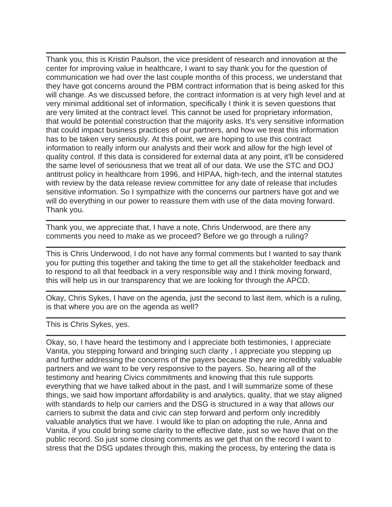Thank you, this is Kristin Paulson, the vice president of research and innovation at the center for improving value in healthcare, I want to say thank you for the question of communication we had over the last couple months of this process, we understand that they have got concerns around the PBM contract information that is being asked for this will change. As we discussed before, the contract information is at very high level and at very minimal additional set of information, specifically I think it is seven questions that are very limited at the contract level. This cannot be used for proprietary information, that would be potential construction that the majority asks. It's very sensitive information that could impact business practices of our partners, and how we treat this information has to be taken very seriously. At this point, we are hoping to use this contract information to really inform our analysts and their work and allow for the high level of quality control. If this data is considered for external data at any point, it'll be considered the same level of seriousness that we treat all of our data. We use the STC and DOJ antitrust policy in healthcare from 1996, and HIPAA, high-tech, and the internal statutes with review by the data release review committee for any date of release that includes sensitive information. So I sympathize with the concerns our partners have got and we will do everything in our power to reassure them with use of the data moving forward. Thank you.

Thank you, we appreciate that, I have a note, Chris Underwood, are there any comments you need to make as we proceed? Before we go through a ruling?

This is Chris Underwood, I do not have any formal comments but I wanted to say thank you for putting this together and taking the time to get all the stakeholder feedback and to respond to all that feedback in a very responsible way and I think moving forward, this will help us in our transparency that we are looking for through the APCD.

Okay, Chris Sykes, I have on the agenda, just the second to last item, which is a ruling, is that where you are on the agenda as well?

This is Chris Sykes, yes.

Okay, so, I have heard the testimony and I appreciate both testimonies, I appreciate Vanita, you stepping forward and bringing such clarity , I appreciate you stepping up and further addressing the concerns of the payers because they are incredibly valuable partners and we want to be very responsive to the payers. So, hearing all of the testimony and hearing Civics commitments and knowing that this rule supports everything that we have talked about in the past, and I will summarize some of these things, we said how important affordability is and analytics, quality, that we stay aligned with standards to help our carriers and the DSG is structured in a way that allows our carriers to submit the data and civic can step forward and perform only incredibly valuable analytics that we have. I would like to plan on adopting the rule, Anna and Vanita, if you could bring some clarity to the effective date, just so we have that on the public record. So just some closing comments as we get that on the record I want to stress that the DSG updates through this, making the process, by entering the data is